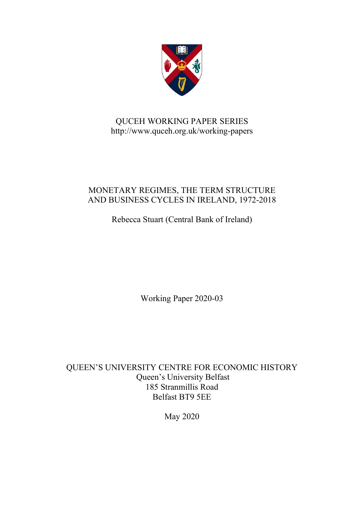

# QUCEH WORKING PAPER SERIES http://www.quceh.org.uk/working-papers

# MONETARY REGIMES, THE TERM STRUCTURE AND BUSINESS CYCLES IN IRELAND, 1972-2018

Rebecca Stuart (Central Bank of Ireland)

Working Paper 2020-03

QUEEN'S UNIVERSITY CENTRE FOR ECONOMIC HISTORY Queen's University Belfast 185 Stranmillis Road Belfast BT9 5EE

May 2020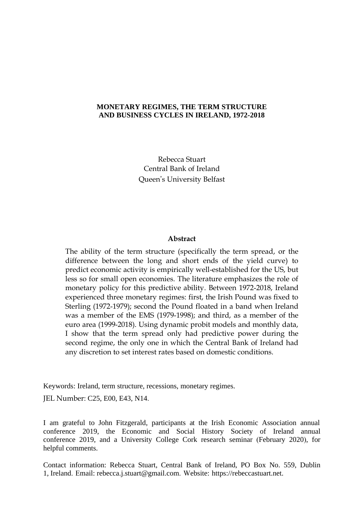# **MONETARY REGIMES, THE TERM STRUCTURE AND BUSINESS CYCLES IN IRELAND, 1972-2018**

Rebecca Stuart Central Bank of Ireland Queen's University Belfast

## **Abstract**

The ability of the term structure (specifically the term spread, or the difference between the long and short ends of the yield curve) to predict economic activity is empirically well-established for the US, but less so for small open economies. The literature emphasizes the role of monetary policy for this predictive ability. Between 1972-2018, Ireland experienced three monetary regimes: first, the Irish Pound was fixed to Sterling (1972-1979); second the Pound floated in a band when Ireland was a member of the EMS (1979-1998); and third, as a member of the euro area (1999-2018). Using dynamic probit models and monthly data, I show that the term spread only had predictive power during the second regime, the only one in which the Central Bank of Ireland had any discretion to set interest rates based on domestic conditions.

Keywords: Ireland, term structure, recessions, monetary regimes.

JEL Number: C25, E00, E43, N14.

I am grateful to John Fitzgerald, participants at the Irish Economic Association annual conference 2019, the Economic and Social History Society of Ireland annual conference 2019, and a University College Cork research seminar (February 2020), for helpful comments.

Contact information: Rebecca Stuart, Central Bank of Ireland, PO Box No. 559, Dublin 1, Ireland. Email: rebecca.j.stuart@gmail.com. Website: [https://rebeccastuart.net.](https://rebeccastuart.net/)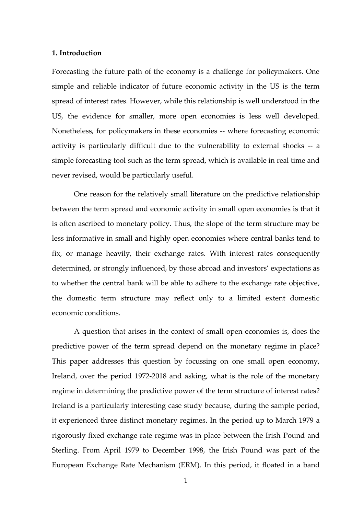# **1. Introduction**

Forecasting the future path of the economy is a challenge for policymakers. One simple and reliable indicator of future economic activity in the US is the term spread of interest rates. However, while this relationship is well understood in the US, the evidence for smaller, more open economies is less well developed. Nonetheless, for policymakers in these economies -- where forecasting economic activity is particularly difficult due to the vulnerability to external shocks -- a simple forecasting tool such as the term spread, which is available in real time and never revised, would be particularly useful.

One reason for the relatively small literature on the predictive relationship between the term spread and economic activity in small open economies is that it is often ascribed to monetary policy. Thus, the slope of the term structure may be less informative in small and highly open economies where central banks tend to fix, or manage heavily, their exchange rates. With interest rates consequently determined, or strongly influenced, by those abroad and investors' expectations as to whether the central bank will be able to adhere to the exchange rate objective, the domestic term structure may reflect only to a limited extent domestic economic conditions.

A question that arises in the context of small open economies is, does the predictive power of the term spread depend on the monetary regime in place? This paper addresses this question by focussing on one small open economy, Ireland, over the period 1972-2018 and asking, what is the role of the monetary regime in determining the predictive power of the term structure of interest rates? Ireland is a particularly interesting case study because, during the sample period, it experienced three distinct monetary regimes. In the period up to March 1979 a rigorously fixed exchange rate regime was in place between the Irish Pound and Sterling. From April 1979 to December 1998, the Irish Pound was part of the European Exchange Rate Mechanism (ERM). In this period, it floated in a band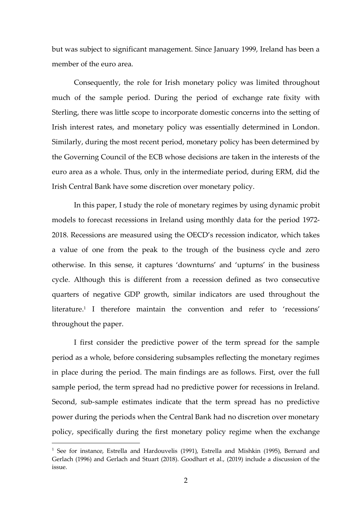but was subject to significant management. Since January 1999, Ireland has been a member of the euro area.

Consequently, the role for Irish monetary policy was limited throughout much of the sample period. During the period of exchange rate fixity with Sterling, there was little scope to incorporate domestic concerns into the setting of Irish interest rates, and monetary policy was essentially determined in London. Similarly, during the most recent period, monetary policy has been determined by the Governing Council of the ECB whose decisions are taken in the interests of the euro area as a whole. Thus, only in the intermediate period, during ERM, did the Irish Central Bank have some discretion over monetary policy.

In this paper, I study the role of monetary regimes by using dynamic probit models to forecast recessions in Ireland using monthly data for the period 1972- 2018. Recessions are measured using the OECD's recession indicator, which takes a value of one from the peak to the trough of the business cycle and zero otherwise. In this sense, it captures 'downturns' and 'upturns' in the business cycle. Although this is different from a recession defined as two consecutive quarters of negative GDP growth, similar indicators are used throughout the literature. 1 I therefore maintain the convention and refer to 'recessions' throughout the paper.

I first consider the predictive power of the term spread for the sample period as a whole, before considering subsamples reflecting the monetary regimes in place during the period. The main findings are as follows. First, over the full sample period, the term spread had no predictive power for recessions in Ireland. Second, sub-sample estimates indicate that the term spread has no predictive power during the periods when the Central Bank had no discretion over monetary policy, specifically during the first monetary policy regime when the exchange

<sup>&</sup>lt;sup>1</sup> See for instance, Estrella and Hardouvelis (1991), Estrella and Mishkin (1995), Bernard and Gerlach (1996) and Gerlach and Stuart (2018). Goodhart et al., (2019) include a discussion of the issue.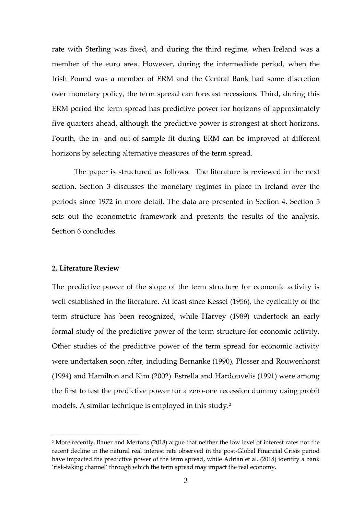rate with Sterling was fixed, and during the third regime, when Ireland was a member of the euro area. However, during the intermediate period, when the Irish Pound was a member of ERM and the Central Bank had some discretion over monetary policy, the term spread can forecast recessions. Third, during this ERM period the term spread has predictive power for horizons of approximately five quarters ahead, although the predictive power is strongest at short horizons. Fourth, the in- and out-of-sample fit during ERM can be improved at different horizons by selecting alternative measures of the term spread.

The paper is structured as follows. The literature is reviewed in the next section. Section 3 discusses the monetary regimes in place in Ireland over the periods since 1972 in more detail. The data are presented in Section 4. Section 5 sets out the econometric framework and presents the results of the analysis. Section 6 concludes.

# **2. Literature Review**

The predictive power of the slope of the term structure for economic activity is well established in the literature. At least since Kessel (1956), the cyclicality of the term structure has been recognized, while Harvey (1989) undertook an early formal study of the predictive power of the term structure for economic activity. Other studies of the predictive power of the term spread for economic activity were undertaken soon after, including Bernanke (1990), Plosser and Rouwenhorst (1994) and Hamilton and Kim (2002). Estrella and Hardouvelis (1991) were among the first to test the predictive power for a zero-one recession dummy using probit models. A similar technique is employed in this study.<sup>2</sup>

<sup>2</sup> More recently, Bauer and Mertons (2018) argue that neither the low level of interest rates nor the recent decline in the natural real interest rate observed in the post-Global Financial Crisis period have impacted the predictive power of the term spread, while Adrian et al. (2018) identify a bank 'risk-taking channel' through which the term spread may impact the real economy.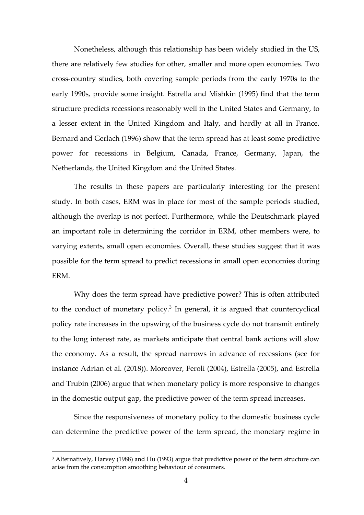Nonetheless, although this relationship has been widely studied in the US, there are relatively few studies for other, smaller and more open economies. Two cross-country studies, both covering sample periods from the early 1970s to the early 1990s, provide some insight. Estrella and Mishkin (1995) find that the term structure predicts recessions reasonably well in the United States and Germany, to a lesser extent in the United Kingdom and Italy, and hardly at all in France. Bernard and Gerlach (1996) show that the term spread has at least some predictive power for recessions in Belgium, Canada, France, Germany, Japan, the Netherlands, the United Kingdom and the United States.

The results in these papers are particularly interesting for the present study. In both cases, ERM was in place for most of the sample periods studied, although the overlap is not perfect. Furthermore, while the Deutschmark played an important role in determining the corridor in ERM, other members were, to varying extents, small open economies. Overall, these studies suggest that it was possible for the term spread to predict recessions in small open economies during ERM.

Why does the term spread have predictive power? This is often attributed to the conduct of monetary policy.<sup>3</sup> In general, it is argued that countercyclical policy rate increases in the upswing of the business cycle do not transmit entirely to the long interest rate, as markets anticipate that central bank actions will slow the economy. As a result, the spread narrows in advance of recessions (see for instance Adrian et al. (2018)). Moreover, Feroli (2004), Estrella (2005), and Estrella and Trubin (2006) argue that when monetary policy is more responsive to changes in the domestic output gap, the predictive power of the term spread increases.

Since the responsiveness of monetary policy to the domestic business cycle can determine the predictive power of the term spread, the monetary regime in

<sup>3</sup> Alternatively, Harvey (1988) and Hu (1993) argue that predictive power of the term structure can arise from the consumption smoothing behaviour of consumers.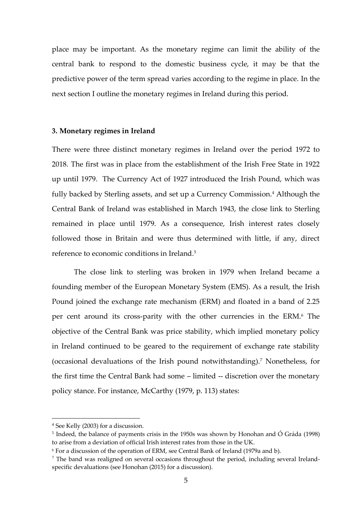place may be important. As the monetary regime can limit the ability of the central bank to respond to the domestic business cycle, it may be that the predictive power of the term spread varies according to the regime in place. In the next section I outline the monetary regimes in Ireland during this period.

# **3. Monetary regimes in Ireland**

There were three distinct monetary regimes in Ireland over the period 1972 to 2018. The first was in place from the establishment of the Irish Free State in 1922 up until 1979. The Currency Act of 1927 introduced the Irish Pound, which was fully backed by Sterling assets, and set up a Currency Commission.<sup>4</sup> Although the Central Bank of Ireland was established in March 1943, the close link to Sterling remained in place until 1979. As a consequence, Irish interest rates closely followed those in Britain and were thus determined with little, if any, direct reference to economic conditions in Ireland.<sup>5</sup>

The close link to sterling was broken in 1979 when Ireland became a founding member of the European Monetary System (EMS). As a result, the Irish Pound joined the exchange rate mechanism (ERM) and floated in a band of 2.25 per cent around its cross-parity with the other currencies in the ERM.<sup>6</sup> The objective of the Central Bank was price stability, which implied monetary policy in Ireland continued to be geared to the requirement of exchange rate stability (occasional devaluations of the Irish pound notwithstanding).<sup>7</sup> Nonetheless, for the first time the Central Bank had some – limited -- discretion over the monetary policy stance. For instance, McCarthy (1979, p. 113) states:

<sup>4</sup> See Kelly (2003) for a discussion.

<sup>&</sup>lt;sup>5</sup> Indeed, the balance of payments crisis in the 1950s was shown by Honohan and Ó Gráda (1998) to arise from a deviation of official Irish interest rates from those in the UK.

<sup>6</sup> For a discussion of the operation of ERM, see Central Bank of Ireland (1979a and b).

 $<sup>7</sup>$  The band was realigned on several occasions throughout the period, including several Ireland-</sup> specific devaluations (see Honohan (2015) for a discussion).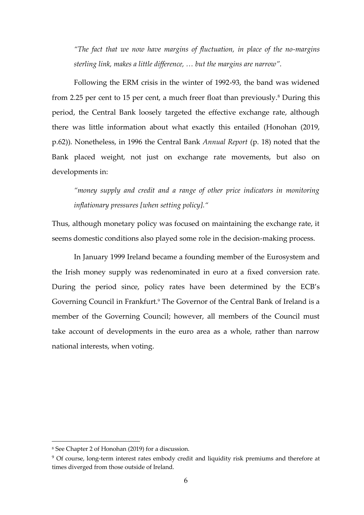*"The fact that we now have margins of fluctuation, in place of the no-margins sterling link, makes a little difference, … but the margins are narrow".*

Following the ERM crisis in the winter of 1992-93, the band was widened from 2.25 per cent to 15 per cent, a much freer float than previously.<sup>8</sup> During this period, the Central Bank loosely targeted the effective exchange rate, although there was little information about what exactly this entailed (Honohan (2019, p.62)). Nonetheless, in 1996 the Central Bank *Annual Report* (p. 18) noted that the Bank placed weight, not just on exchange rate movements, but also on developments in:

*"money supply and credit and a range of other price indicators in monitoring inflationary pressures [when setting policy]."*

Thus, although monetary policy was focused on maintaining the exchange rate, it seems domestic conditions also played some role in the decision-making process.

In January 1999 Ireland became a founding member of the Eurosystem and the Irish money supply was redenominated in euro at a fixed conversion rate. During the period since, policy rates have been determined by the ECB's Governing Council in Frankfurt.<sup>9</sup> The Governor of the Central Bank of Ireland is a member of the Governing Council; however, all members of the Council must take account of developments in the euro area as a whole, rather than narrow national interests, when voting.

<sup>8</sup> See Chapter 2 of Honohan (2019) for a discussion.

<sup>&</sup>lt;sup>9</sup> Of course, long-term interest rates embody credit and liquidity risk premiums and therefore at times diverged from those outside of Ireland.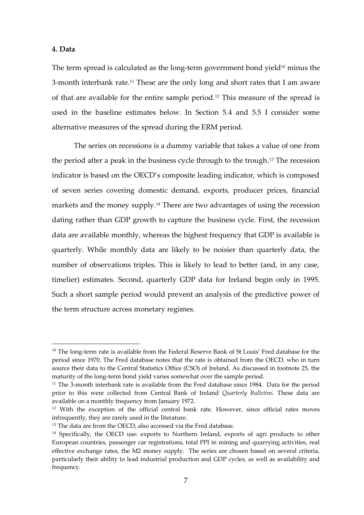#### **4. Data**

The term spread is calculated as the long-term government bond yield $10$  minus the 3-month interbank rate.<sup>11</sup> These are the only long and short rates that I am aware of that are available for the entire sample period.<sup>12</sup> This measure of the spread is used in the baseline estimates below. In Section 5.4 and 5.5 I consider some alternative measures of the spread during the ERM period.

The series on recessions is a dummy variable that takes a value of one from the period after a peak in the business cycle through to the trough. <sup>13</sup> The recession indicator is based on the OECD's composite leading indicator, which is composed of seven series covering domestic demand, exports, producer prices, financial markets and the money supply.<sup>14</sup> There are two advantages of using the recession dating rather than GDP growth to capture the business cycle. First, the recession data are available monthly, whereas the highest frequency that GDP is available is quarterly. While monthly data are likely to be noisier than quarterly data, the number of observations triples. This is likely to lead to better (and, in any case, timelier) estimates. Second, quarterly GDP data for Ireland begin only in 1995. Such a short sample period would prevent an analysis of the predictive power of the term structure across monetary regimes.

 $10$  The long-term rate is available from the Federal Reserve Bank of St Louis' Fred database for the period since 1970. The Fred database notes that the rate is obtained from the OECD, who in turn source their data to the Central Statistics Office (CSO) of Ireland. As discussed in footnote 25, the maturity of the long-term bond yield varies somewhat over the sample period.

 $11$  The 3-month interbank rate is available from the Fred database since 1984. Data for the period prior to this were collected from Central Bank of Ireland *Quarterly Bulletins*. These data are available on a monthly frequency from January 1972.

 $12$  With the exception of the official central bank rate. However, since official rates moves infrequently, they are rarely used in the literature.

 $13$  The data are from the OECD, also accessed via the Fred database.

<sup>&</sup>lt;sup>14</sup> Specifically, the OECD use: exports to Northern Ireland, exports of agri products to other European countries, passenger car registrations, total PPI in mining and quarrying activities, real effective exchange rates, the M2 money supply. The series are chosen based on several criteria, particularly their ability to lead industrial production and GDP cycles, as well as availability and frequency.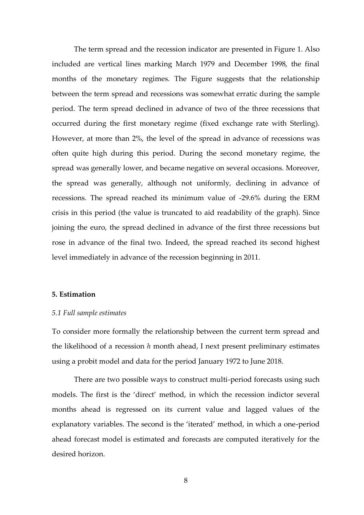The term spread and the recession indicator are presented in Figure 1. Also included are vertical lines marking March 1979 and December 1998, the final months of the monetary regimes. The Figure suggests that the relationship between the term spread and recessions was somewhat erratic during the sample period. The term spread declined in advance of two of the three recessions that occurred during the first monetary regime (fixed exchange rate with Sterling). However, at more than 2%, the level of the spread in advance of recessions was often quite high during this period. During the second monetary regime, the spread was generally lower, and became negative on several occasions. Moreover, the spread was generally, although not uniformly, declining in advance of recessions. The spread reached its minimum value of -29.6% during the ERM crisis in this period (the value is truncated to aid readability of the graph). Since joining the euro, the spread declined in advance of the first three recessions but rose in advance of the final two. Indeed, the spread reached its second highest level immediately in advance of the recession beginning in 2011.

# **5. Estimation**

#### *5.1 Full sample estimates*

To consider more formally the relationship between the current term spread and the likelihood of a recession *h* month ahead, I next present preliminary estimates using a probit model and data for the period January 1972 to June 2018.

There are two possible ways to construct multi-period forecasts using such models. The first is the 'direct' method, in which the recession indictor several months ahead is regressed on its current value and lagged values of the explanatory variables. The second is the 'iterated' method, in which a one-period ahead forecast model is estimated and forecasts are computed iteratively for the desired horizon.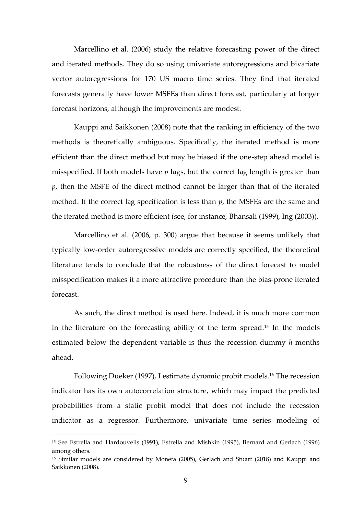Marcellino et al. (2006) study the relative forecasting power of the direct and iterated methods. They do so using univariate autoregressions and bivariate vector autoregressions for 170 US macro time series. They find that iterated forecasts generally have lower MSFEs than direct forecast, particularly at longer forecast horizons, although the improvements are modest.

Kauppi and Saikkonen (2008) note that the ranking in efficiency of the two methods is theoretically ambiguous. Specifically, the iterated method is more efficient than the direct method but may be biased if the one-step ahead model is misspecified. If both models have *p* lags, but the correct lag length is greater than *p*, then the MSFE of the direct method cannot be larger than that of the iterated method. If the correct lag specification is less than *p*, the MSFEs are the same and the iterated method is more efficient (see, for instance, Bhansali (1999), Ing (2003)).

Marcellino et al. (2006, p. 300) argue that because it seems unlikely that typically low-order autoregressive models are correctly specified, the theoretical literature tends to conclude that the robustness of the direct forecast to model misspecification makes it a more attractive procedure than the bias-prone iterated forecast.

As such, the direct method is used here. Indeed, it is much more common in the literature on the forecasting ability of the term spread.<sup>15</sup> In the models estimated below the dependent variable is thus the recession dummy *h* months ahead.

Following Dueker (1997), I estimate dynamic probit models.<sup>16</sup> The recession indicator has its own autocorrelation structure, which may impact the predicted probabilities from a static probit model that does not include the recession indicator as a regressor. Furthermore, univariate time series modeling of

<sup>15</sup> See Estrella and Hardouvelis (1991), Estrella and Mishkin (1995), Bernard and Gerlach (1996) among others.

<sup>16</sup> Similar models are considered by Moneta (2005), Gerlach and Stuart (2018) and Kauppi and Saikkonen (2008).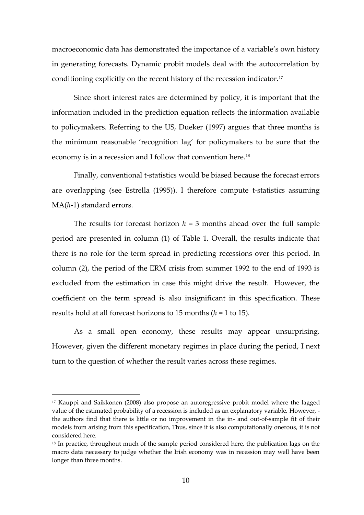macroeconomic data has demonstrated the importance of a variable's own history in generating forecasts. Dynamic probit models deal with the autocorrelation by conditioning explicitly on the recent history of the recession indicator.<sup>17</sup>

Since short interest rates are determined by policy, it is important that the information included in the prediction equation reflects the information available to policymakers. Referring to the US, Dueker (1997) argues that three months is the minimum reasonable 'recognition lag' for policymakers to be sure that the economy is in a recession and I follow that convention here.<sup>18</sup>

Finally, conventional t-statistics would be biased because the forecast errors are overlapping (see Estrella (1995)). I therefore compute t-statistics assuming MA(*h*-1) standard errors.

The results for forecast horizon  $h = 3$  months ahead over the full sample period are presented in column (1) of Table 1. Overall, the results indicate that there is no role for the term spread in predicting recessions over this period. In column (2), the period of the ERM crisis from summer 1992 to the end of 1993 is excluded from the estimation in case this might drive the result. However, the coefficient on the term spread is also insignificant in this specification. These results hold at all forecast horizons to 15 months (*h* = 1 to 15).

As a small open economy, these results may appear unsurprising. However, given the different monetary regimes in place during the period, I next turn to the question of whether the result varies across these regimes.

<sup>17</sup> Kauppi and Saikkonen (2008) also propose an autoregressive probit model where the lagged value of the estimated probability of a recession is included as an explanatory variable. However, the authors find that there is little or no improvement in the in- and out-of-sample fit of their models from arising from this specification, Thus, since it is also computationally onerous, it is not considered here.

<sup>&</sup>lt;sup>18</sup> In practice, throughout much of the sample period considered here, the publication lags on the macro data necessary to judge whether the Irish economy was in recession may well have been longer than three months.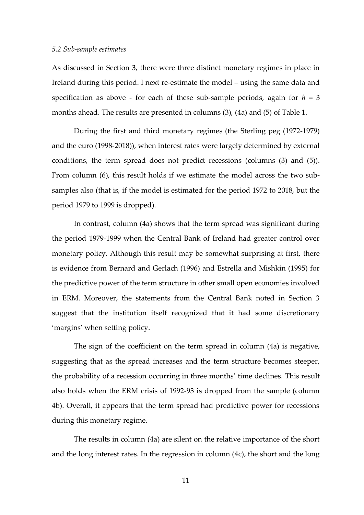#### *5.2 Sub-sample estimates*

As discussed in Section 3, there were three distinct monetary regimes in place in Ireland during this period. I next re-estimate the model – using the same data and specification as above - for each of these sub-sample periods, again for  $h = 3$ months ahead. The results are presented in columns (3), (4a) and (5) of Table 1.

During the first and third monetary regimes (the Sterling peg (1972-1979) and the euro (1998-2018)), when interest rates were largely determined by external conditions, the term spread does not predict recessions (columns (3) and (5)). From column (6), this result holds if we estimate the model across the two subsamples also (that is, if the model is estimated for the period 1972 to 2018, but the period 1979 to 1999 is dropped).

In contrast, column (4a) shows that the term spread was significant during the period 1979-1999 when the Central Bank of Ireland had greater control over monetary policy. Although this result may be somewhat surprising at first, there is evidence from Bernard and Gerlach (1996) and Estrella and Mishkin (1995) for the predictive power of the term structure in other small open economies involved in ERM. Moreover, the statements from the Central Bank noted in Section 3 suggest that the institution itself recognized that it had some discretionary 'margins' when setting policy.

The sign of the coefficient on the term spread in column (4a) is negative, suggesting that as the spread increases and the term structure becomes steeper, the probability of a recession occurring in three months' time declines. This result also holds when the ERM crisis of 1992-93 is dropped from the sample (column 4b). Overall, it appears that the term spread had predictive power for recessions during this monetary regime.

The results in column (4a) are silent on the relative importance of the short and the long interest rates. In the regression in column (4c), the short and the long

11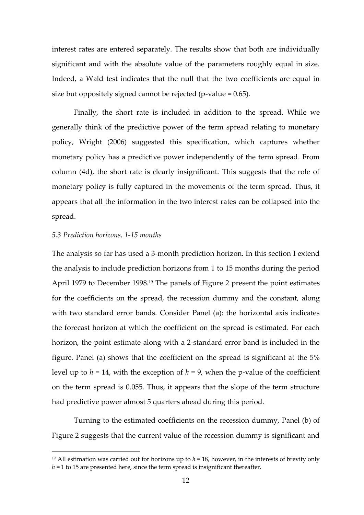interest rates are entered separately. The results show that both are individually significant and with the absolute value of the parameters roughly equal in size. Indeed, a Wald test indicates that the null that the two coefficients are equal in size but oppositely signed cannot be rejected (p-value = 0.65).

Finally, the short rate is included in addition to the spread. While we generally think of the predictive power of the term spread relating to monetary policy, Wright (2006) suggested this specification, which captures whether monetary policy has a predictive power independently of the term spread. From column (4d), the short rate is clearly insignificant. This suggests that the role of monetary policy is fully captured in the movements of the term spread. Thus, it appears that all the information in the two interest rates can be collapsed into the spread.

# *5.3 Prediction horizons, 1-15 months*

The analysis so far has used a 3-month prediction horizon. In this section I extend the analysis to include prediction horizons from 1 to 15 months during the period April 1979 to December 1998.<sup>19</sup> The panels of Figure 2 present the point estimates for the coefficients on the spread, the recession dummy and the constant, along with two standard error bands. Consider Panel (a): the horizontal axis indicates the forecast horizon at which the coefficient on the spread is estimated. For each horizon, the point estimate along with a 2-standard error band is included in the figure. Panel (a) shows that the coefficient on the spread is significant at the 5% level up to  $h = 14$ , with the exception of  $h = 9$ , when the p-value of the coefficient on the term spread is 0.055. Thus, it appears that the slope of the term structure had predictive power almost 5 quarters ahead during this period.

Turning to the estimated coefficients on the recession dummy, Panel (b) of Figure 2 suggests that the current value of the recession dummy is significant and

<sup>&</sup>lt;sup>19</sup> All estimation was carried out for horizons up to  $h = 18$ , however, in the interests of brevity only  $h = 1$  to 15 are presented here, since the term spread is insignificant thereafter.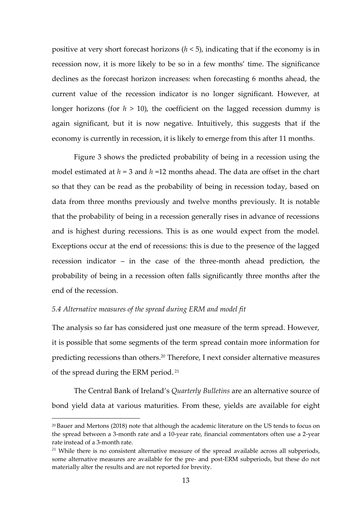positive at very short forecast horizons (*h* < 5), indicating that if the economy is in recession now, it is more likely to be so in a few months' time. The significance declines as the forecast horizon increases: when forecasting 6 months ahead, the current value of the recession indicator is no longer significant. However, at longer horizons (for  $h > 10$ ), the coefficient on the lagged recession dummy is again significant, but it is now negative. Intuitively, this suggests that if the economy is currently in recession, it is likely to emerge from this after 11 months.

Figure 3 shows the predicted probability of being in a recession using the model estimated at *h* = 3 and *h* =12 months ahead. The data are offset in the chart so that they can be read as the probability of being in recession today, based on data from three months previously and twelve months previously. It is notable that the probability of being in a recession generally rises in advance of recessions and is highest during recessions. This is as one would expect from the model. Exceptions occur at the end of recessions: this is due to the presence of the lagged recession indicator – in the case of the three-month ahead prediction, the probability of being in a recession often falls significantly three months after the end of the recession.

## *5.4 Alternative measures of the spread during ERM and model fit*

The analysis so far has considered just one measure of the term spread. However, it is possible that some segments of the term spread contain more information for predicting recessions than others. <sup>20</sup> Therefore, I next consider alternative measures of the spread during the ERM period. <sup>21</sup>

The Central Bank of Ireland's *Quarterly Bulletins* are an alternative source of bond yield data at various maturities. From these, yields are available for eight

<sup>20</sup> Bauer and Mertons (2018) note that although the academic literature on the US tends to focus on the spread between a 3-month rate and a 10-year rate, financial commentators often use a 2-year rate instead of a 3-month rate.

 $21$  While there is no consistent alternative measure of the spread available across all subperiods, some alternative measures are available for the pre- and post-ERM subperiods, but these do not materially alter the results and are not reported for brevity.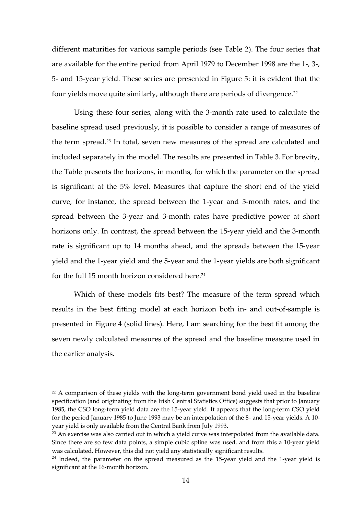different maturities for various sample periods (see Table 2). The four series that are available for the entire period from April 1979 to December 1998 are the 1-, 3-, 5- and 15-year yield. These series are presented in Figure 5: it is evident that the four yields move quite similarly, although there are periods of divergence.<sup>22</sup>

Using these four series, along with the 3-month rate used to calculate the baseline spread used previously, it is possible to consider a range of measures of the term spread.<sup>23</sup> In total, seven new measures of the spread are calculated and included separately in the model. The results are presented in Table 3. For brevity, the Table presents the horizons, in months, for which the parameter on the spread is significant at the 5% level. Measures that capture the short end of the yield curve, for instance, the spread between the 1-year and 3-month rates, and the spread between the 3-year and 3-month rates have predictive power at short horizons only. In contrast, the spread between the 15-year yield and the 3-month rate is significant up to 14 months ahead, and the spreads between the 15-year yield and the 1-year yield and the 5-year and the 1-year yields are both significant for the full 15 month horizon considered here.<sup>24</sup>

Which of these models fits best? The measure of the term spread which results in the best fitting model at each horizon both in- and out-of-sample is presented in Figure 4 (solid lines). Here, I am searching for the best fit among the seven newly calculated measures of the spread and the baseline measure used in the earlier analysis.

<sup>&</sup>lt;sup>22</sup> A comparison of these yields with the long-term government bond yield used in the baseline specification (and originating from the Irish Central Statistics Office) suggests that prior to January 1985, the CSO long-term yield data are the 15-year yield. It appears that the long-term CSO yield for the period January 1985 to June 1993 may be an interpolation of the 8- and 15-year yields. A 10 year yield is only available from the Central Bank from July 1993.

 $^{23}$  An exercise was also carried out in which a yield curve was interpolated from the available data. Since there are so few data points, a simple cubic spline was used, and from this a 10-year yield was calculated. However, this did not yield any statistically significant results.

 $24$  Indeed, the parameter on the spread measured as the 15-year yield and the 1-year yield is significant at the 16-month horizon.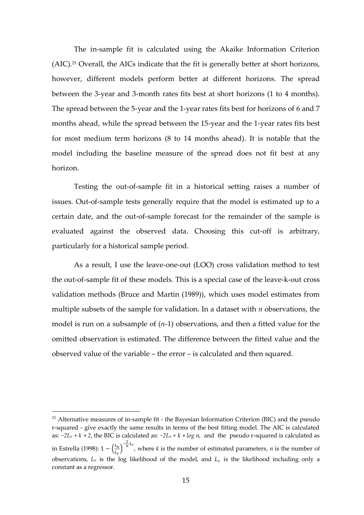The in-sample fit is calculated using the Akaike Information Criterion (AIC).<sup>25</sup> Overall, the AICs indicate that the fit is generally better at short horizons, however, different models perform better at different horizons. The spread between the 3-year and 3-month rates fits best at short horizons (1 to 4 months). The spread between the 5-year and the 1-year rates fits best for horizons of 6 and 7 months ahead, while the spread between the 15-year and the 1-year rates fits best for most medium term horizons (8 to 14 months ahead). It is notable that the model including the baseline measure of the spread does not fit best at any horizon.

Testing the out-of-sample fit in a historical setting raises a number of issues. Out-of-sample tests generally require that the model is estimated up to a certain date, and the out-of-sample forecast for the remainder of the sample is evaluated against the observed data. Choosing this cut-off is arbitrary, particularly for a historical sample period.

As a result, I use the leave-one-out (LOO) cross validation method to test the out-of-sample fit of these models. This is a special case of the leave-k-out cross validation methods (Bruce and Martin (1989)), which uses model estimates from multiple subsets of the sample for validation. In a dataset with *n* observations, the model is run on a subsample of (*n*-1) observations, and then a fitted value for the omitted observation is estimated. The difference between the fitted value and the observed value of the variable – the error – is calculated and then squared.

 $25$  Alternative measures of in-sample fit - the Bayesian Information Criterion (BIC) and the pseudo r-squared - give exactly the same results in terms of the best fitting model. The AIC is calculated as: *−2L<sup>u</sup> + k* <sup>∗</sup> *2*, the BIC is calculated as: *−2L<sup>u</sup> + k* <sup>∗</sup> *log n*, and the pseudo r-squared is calculated as in Estrella (1998): 1  $-\left(\frac{L_u}{L}\right)$  $\frac{L_u}{L_c}$ )<sup>- $\frac{2}{n}$ </sup> $L_c$ , where *k* is the number of estimated parameters, *n* is the number of observations,  $L<sub>u</sub>$  is the log likelihood of the model, and  $L<sub>c</sub>$  is the likelihood including only a constant as a regressor.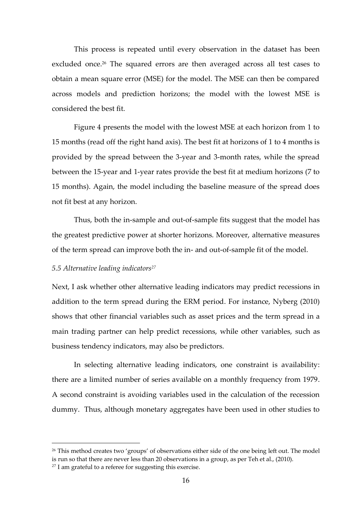This process is repeated until every observation in the dataset has been excluded once. <sup>26</sup> The squared errors are then averaged across all test cases to obtain a mean square error (MSE) for the model. The MSE can then be compared across models and prediction horizons; the model with the lowest MSE is considered the best fit.

Figure 4 presents the model with the lowest MSE at each horizon from 1 to 15 months (read off the right hand axis). The best fit at horizons of 1 to 4 months is provided by the spread between the 3-year and 3-month rates, while the spread between the 15-year and 1-year rates provide the best fit at medium horizons (7 to 15 months). Again, the model including the baseline measure of the spread does not fit best at any horizon.

Thus, both the in-sample and out-of-sample fits suggest that the model has the greatest predictive power at shorter horizons. Moreover, alternative measures of the term spread can improve both the in- and out-of-sample fit of the model.

#### *5.5 Alternative leading indicators<sup>27</sup>*

Next, I ask whether other alternative leading indicators may predict recessions in addition to the term spread during the ERM period. For instance, Nyberg (2010) shows that other financial variables such as asset prices and the term spread in a main trading partner can help predict recessions, while other variables, such as business tendency indicators, may also be predictors.

In selecting alternative leading indicators, one constraint is availability: there are a limited number of series available on a monthly frequency from 1979. A second constraint is avoiding variables used in the calculation of the recession dummy. Thus, although monetary aggregates have been used in other studies to

<sup>&</sup>lt;sup>26</sup> This method creates two 'groups' of observations either side of the one being left out. The model is run so that there are never less than 20 observations in a group, as per Teh et al., (2010).

 $27$  I am grateful to a referee for suggesting this exercise.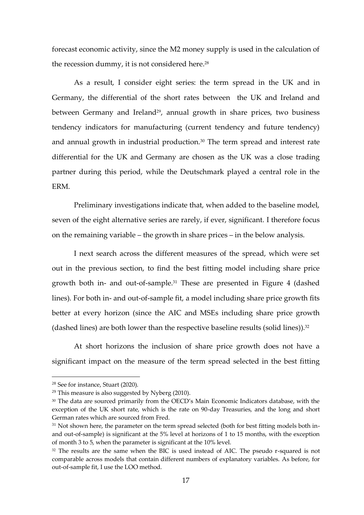forecast economic activity, since the M2 money supply is used in the calculation of the recession dummy, it is not considered here.<sup>28</sup>

As a result, I consider eight series: the term spread in the UK and in Germany, the differential of the short rates between the UK and Ireland and between Germany and Ireland<sup>29</sup>, annual growth in share prices, two business tendency indicators for manufacturing (current tendency and future tendency) and annual growth in industrial production.<sup>30</sup> The term spread and interest rate differential for the UK and Germany are chosen as the UK was a close trading partner during this period, while the Deutschmark played a central role in the ERM.

Preliminary investigations indicate that, when added to the baseline model, seven of the eight alternative series are rarely, if ever, significant. I therefore focus on the remaining variable – the growth in share prices – in the below analysis.

I next search across the different measures of the spread, which were set out in the previous section, to find the best fitting model including share price growth both in- and out-of-sample. <sup>31</sup> These are presented in Figure 4 (dashed lines). For both in- and out-of-sample fit, a model including share price growth fits better at every horizon (since the AIC and MSEs including share price growth (dashed lines) are both lower than the respective baseline results (solid lines)). 32

At short horizons the inclusion of share price growth does not have a significant impact on the measure of the term spread selected in the best fitting

<sup>28</sup> See for instance, Stuart (2020).

 $29$  This measure is also suggested by Nyberg (2010).

<sup>&</sup>lt;sup>30</sup> The data are sourced primarily from the OECD's Main Economic Indicators database, with the exception of the UK short rate, which is the rate on 90-day Treasuries, and the long and short German rates which are sourced from Fred.

 $31$  Not shown here, the parameter on the term spread selected (both for best fitting models both inand out-of-sample) is significant at the 5% level at horizons of 1 to 15 months, with the exception of month 3 to 5, when the parameter is significant at the 10% level.

<sup>&</sup>lt;sup>32</sup> The results are the same when the BIC is used instead of AIC. The pseudo r-squared is not comparable across models that contain different numbers of explanatory variables. As before, for out-of-sample fit, I use the LOO method.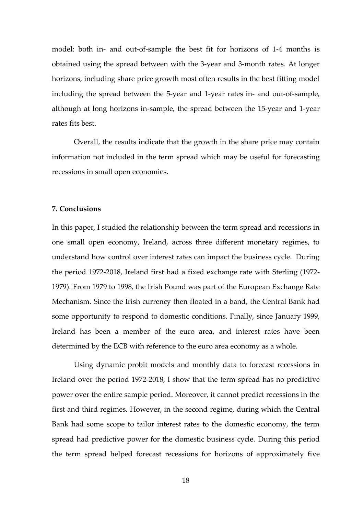model: both in- and out-of-sample the best fit for horizons of 1-4 months is obtained using the spread between with the 3-year and 3-month rates. At longer horizons, including share price growth most often results in the best fitting model including the spread between the 5-year and 1-year rates in- and out-of-sample, although at long horizons in-sample, the spread between the 15-year and 1-year rates fits best.

Overall, the results indicate that the growth in the share price may contain information not included in the term spread which may be useful for forecasting recessions in small open economies.

# **7. Conclusions**

In this paper, I studied the relationship between the term spread and recessions in one small open economy, Ireland, across three different monetary regimes, to understand how control over interest rates can impact the business cycle. During the period 1972-2018, Ireland first had a fixed exchange rate with Sterling (1972- 1979). From 1979 to 1998, the Irish Pound was part of the European Exchange Rate Mechanism. Since the Irish currency then floated in a band, the Central Bank had some opportunity to respond to domestic conditions. Finally, since January 1999, Ireland has been a member of the euro area, and interest rates have been determined by the ECB with reference to the euro area economy as a whole.

Using dynamic probit models and monthly data to forecast recessions in Ireland over the period 1972-2018, I show that the term spread has no predictive power over the entire sample period. Moreover, it cannot predict recessions in the first and third regimes. However, in the second regime, during which the Central Bank had some scope to tailor interest rates to the domestic economy, the term spread had predictive power for the domestic business cycle. During this period the term spread helped forecast recessions for horizons of approximately five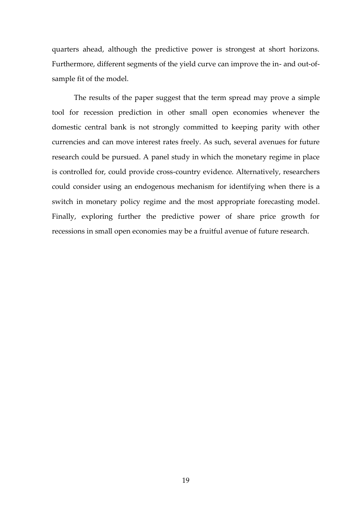quarters ahead, although the predictive power is strongest at short horizons. Furthermore, different segments of the yield curve can improve the in- and out-ofsample fit of the model.

The results of the paper suggest that the term spread may prove a simple tool for recession prediction in other small open economies whenever the domestic central bank is not strongly committed to keeping parity with other currencies and can move interest rates freely. As such, several avenues for future research could be pursued. A panel study in which the monetary regime in place is controlled for, could provide cross-country evidence. Alternatively, researchers could consider using an endogenous mechanism for identifying when there is a switch in monetary policy regime and the most appropriate forecasting model. Finally, exploring further the predictive power of share price growth for recessions in small open economies may be a fruitful avenue of future research.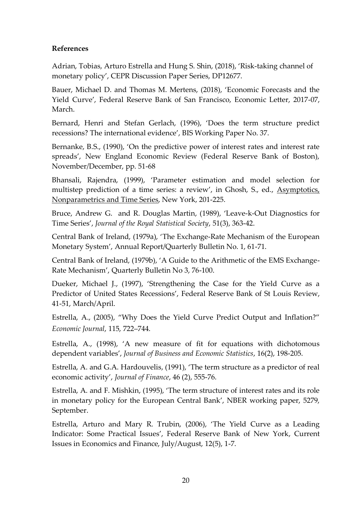# **References**

Adrian, Tobias, Arturo Estrella and Hung S. Shin, (2018), 'Risk-taking channel of monetary policy', CEPR Discussion Paper Series, DP12677.

Bauer, Michael D. and Thomas M. Mertens, (2018), 'Economic Forecasts and the Yield Curve', Federal Reserve Bank of San Francisco, Economic Letter, 2017-07, March.

Bernard, Henri and Stefan Gerlach, (1996), 'Does the term structure predict recessions? The international evidence', BIS Working Paper No. 37.

Bernanke, B.S., (1990), 'On the predictive power of interest rates and interest rate spreads', New England Economic Review (Federal Reserve Bank of Boston), November/December, pp. 51-68

Bhansali, Rajendra, (1999), 'Parameter estimation and model selection for multistep prediction of a time series: a review', in Ghosh, S., ed., Asymptotics, Nonparametrics and Time Series, New York, 201-225.

Bruce, Andrew G. and R. Douglas Martin, (1989), 'Leave-k-Out Diagnostics for Time Series', *Journal of the Royal Statistical Society*, 51(3), 363-42.

Central Bank of Ireland, (1979a), 'The Exchange-Rate Mechanism of the European Monetary System', Annual Report/Quarterly Bulletin No. 1, 61-71.

Central Bank of Ireland, (1979b), 'A Guide to the Arithmetic of the EMS Exchange-Rate Mechanism', Quarterly Bulletin No 3, 76-100.

Dueker, Michael J., (1997), 'Strengthening the Case for the Yield Curve as a Predictor of United States Recessions', Federal Reserve Bank of St Louis Review, 41-51, March/April.

Estrella, A., (2005), "Why Does the Yield Curve Predict Output and Inflation?" *Economic Journal*, 115, 722–744.

Estrella, A., (1998), 'A new measure of fit for equations with dichotomous dependent variables', *Journal of Business and Economic Statistics*, 16(2), 198-205.

Estrella, A. and G.A. Hardouvelis, (1991), 'The term structure as a predictor of real economic activity', *Journal of Finance*, 46 (2), 555-76.

Estrella, A. and F. Mishkin, (1995), 'The term structure of interest rates and its role in monetary policy for the European Central Bank', NBER working paper, 5279, September.

Estrella, Arturo and Mary R. Trubin, (2006), 'The Yield Curve as a Leading Indicator: Some Practical Issues', Federal Reserve Bank of New York, Current Issues in Economics and Finance, July/August, 12(5), 1-7.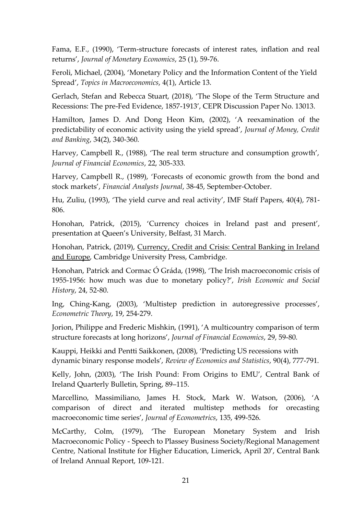Fama, E.F., (1990), 'Term-structure forecasts of interest rates, inflation and real returns', *Journal of Monetary Economics*, 25 (1), 59-76.

Feroli, Michael, (2004), 'Monetary Policy and the Information Content of the Yield Spread', *Topics in Macroeconomics*, 4(1), Article 13.

Gerlach, Stefan and Rebecca Stuart, (2018), 'The Slope of the Term Structure and Recessions: The pre-Fed Evidence, 1857-1913', CEPR Discussion Paper No. 13013.

Hamilton, James D. And Dong Heon Kim, (2002), 'A reexamination of the predictability of economic activity using the yield spread', *Journal of Money, Credit and Banking*, 34(2), 340-360.

Harvey, Campbell R., (1988), 'The real term structure and consumption growth', *Journal of Financial Economics*, 22, 305-333.

Harvey, Campbell R., (1989), 'Forecasts of economic growth from the bond and stock markets', *Financial Analysts Journal*, 38-45, September-October.

Hu, Zuliu, (1993), 'The yield curve and real activity', IMF Staff Papers, 40(4), 781- 806.

Honohan, Patrick, (2015), 'Currency choices in Ireland past and present', presentation at Queen's University, Belfast, 31 March.

Honohan, Patrick, (2019), Currency, Credit and Crisis: Central Banking in Ireland and Europe, Cambridge University Press, Cambridge.

Honohan, Patrick and Cormac Ó Gráda, (1998), 'The Irish macroeconomic crisis of 1955-1956: how much was due to monetary policy?', *Irish Economic and Social History*, 24, 52-80.

Ing, Ching-Kang, (2003), 'Multistep prediction in autoregressive processes', *Econometric Theory*, 19, 254-279.

Jorion, Philippe and Frederic Mishkin, (1991), 'A multicountry comparison of term structure forecasts at long horizons', *Journal of Financial Economics*, 29, 59-80.

Kauppi, Heikki and Pentti Saikkonen, (2008), 'Predicting US recessions with dynamic binary response models', *Review of Economics and Statistics*, 90(4), 777-791.

Kelly, John, (2003), 'The Irish Pound: From Origins to EMU', Central Bank of Ireland Quarterly Bulletin, Spring, 89–115.

Marcellino, Massimiliano, James H. Stock, Mark W. Watson, (2006), 'A comparison of direct and iterated multistep methods for orecasting macroeconomic time series', *Journal of Econometrics*, 135, 499-526.

McCarthy, Colm, (1979), 'The European Monetary System and Irish Macroeconomic Policy - Speech to Plassey Business Society/Regional Management Centre, National Institute for Higher Education, Limerick, April 20', Central Bank of Ireland Annual Report, 109-121.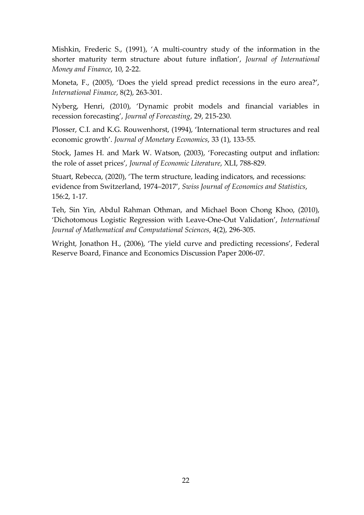Mishkin, Frederic S., (1991), 'A multi-country study of the information in the shorter maturity term structure about future inflation', *Journal of International Money and Finance*, 10, 2-22.

Moneta, F., (2005), 'Does the yield spread predict recessions in the euro area?', *International Finance*, 8(2), 263-301.

Nyberg, Henri, (2010), 'Dynamic probit models and financial variables in recession forecasting', *Journal of Forecasting*, 29, 215-230.

Plosser, C.I. and K.G. Rouwenhorst, (1994), 'International term structures and real economic growth'. *Journal of Monetary Economics*, 33 (1), 133-55.

Stock, James H. and Mark W. Watson, (2003), 'Forecasting output and inflation: the role of asset prices', *Journal of Economic Literature*, XLI, 788-829.

Stuart, Rebecca, (2020), 'The term structure, leading indicators, and recessions: evidence from Switzerland, 1974–2017', *Swiss Journal of Economics and Statistics*, 156:2, 1-17.

Teh, Sin Yin, Abdul Rahman Othman, and Michael Boon Chong Khoo, (2010), 'Dichotomous Logistic Regression with Leave-One-Out Validation', *International Journal of Mathematical and Computational Sciences*, 4(2), 296-305.

Wright, Jonathon H., (2006), 'The yield curve and predicting recessions', Federal Reserve Board, Finance and Economics Discussion Paper 2006-07.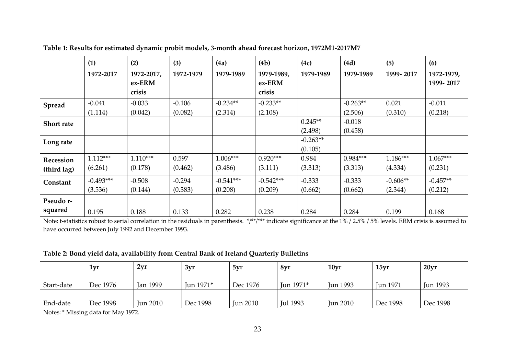|             | (1)<br>1972-2017 | (2)<br>1972-2017,<br>ex-ERM<br>crisis | (3)<br>1972-1979 | (4a)<br>1979-1989 | (4b)<br>1979-1989,<br>ex-ERM<br>crisis | (4c)<br>1979-1989 | (4d)<br>1979-1989 | (5)<br>1999-2017 | (6)<br>1972-1979,<br>1999-2017 |
|-------------|------------------|---------------------------------------|------------------|-------------------|----------------------------------------|-------------------|-------------------|------------------|--------------------------------|
| Spread      | $-0.041$         | $-0.033$                              | $-0.106$         | $-0.234**$        | $-0.233**$                             |                   | $-0.263**$        | 0.021            | $-0.011$                       |
|             | (1.114)          | (0.042)                               | (0.082)          | (2.314)           | (2.108)                                |                   | (2.506)           | (0.310)          | (0.218)                        |
| Short rate  |                  |                                       |                  |                   |                                        | $0.245**$         | $-0.018$          |                  |                                |
|             |                  |                                       |                  |                   |                                        | (2.498)           | (0.458)           |                  |                                |
| Long rate   |                  |                                       |                  |                   |                                        | $-0.263**$        |                   |                  |                                |
|             |                  |                                       |                  |                   |                                        | (0.105)           |                   |                  |                                |
| Recession   | $1.112***$       | $1.110***$                            | 0.597            | $1.006***$        | $0.920***$                             | 0.984             | $0.984***$        | $1.186***$       | $1.067***$                     |
| (third lag) | (6.261)          | (0.178)                               | (0.462)          | (3.486)           | (3.111)                                | (3.313)           | (3.313)           | (4.334)          | (0.231)                        |
| Constant    | $-0.493***$      | $-0.508$                              | $-0.294$         | $-0.541***$       | $-0.542***$                            | $-0.333$          | $-0.333$          | $-0.606**$       | $-0.457**$                     |
|             | (3.536)          | (0.144)                               | (0.383)          | (0.208)           | (0.209)                                | (0.662)           | (0.662)           | (2.344)          | (0.212)                        |
| Pseudo r-   |                  |                                       |                  |                   |                                        |                   |                   |                  |                                |
| squared     | 0.195            | 0.188                                 | 0.133            | 0.282             | 0.238                                  | 0.284             | 0.284             | 0.199            | 0.168                          |

**Table 1: Results for estimated dynamic probit models, 3-month ahead forecast horizon, 1972M1-2017M7**

Note: t-statistics robust to serial correlation in the residuals in parenthesis. \*/\*\*/\*\*\* indicate significance at the 1% / 2.5% / 5% levels. ERM crisis is assumed to have occurred between July 1992 and December 1993.

# **Table 2: Bond yield data, availability from Central Bank of Ireland Quarterly Bulletins**

|            | 1vr      | 2vr             | 3yr       | 5yr             | 8yr             | 10 <sub>vr</sub> | 15 <sub>vr</sub> | 20 <sub>vr</sub> |
|------------|----------|-----------------|-----------|-----------------|-----------------|------------------|------------------|------------------|
| Start-date | Dec 1976 | <b>Jan 1999</b> | Jun 1971* | Dec 1976        | Jun 1971*       | Jun 1993         | <b>Jun 1971</b>  | <b>Jun 1993</b>  |
| End-date   | Dec 1998 | <b>Jun 2010</b> | Dec 1998  | <b>Jun 2010</b> | <b>Jul 1993</b> | <b>Jun 2010</b>  | Dec 1998         | Dec 1998         |

Notes: \* Missing data for May 1972.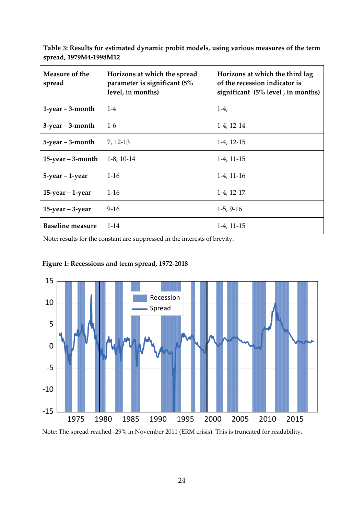**Table 3: Results for estimated dynamic probit models, using various measures of the term spread, 1979M4-1998M12**

| Measure of the<br>spread | Horizons at which the spread<br>parameter is significant (5%<br>level, in months) | Horizons at which the third lag<br>of the recession indicator is<br>significant (5% level, in months) |
|--------------------------|-----------------------------------------------------------------------------------|-------------------------------------------------------------------------------------------------------|
| $1$ -year – 3-month      | $1 - 4$                                                                           | $1-4,$                                                                                                |
| $3$ -year – $3$ -month   | $1 - 6$                                                                           | $1-4, 12-14$                                                                                          |
| $5$ -year $-$ 3-month    | 7, 12-13                                                                          | $1-4, 12-15$                                                                                          |
| $15$ -year – 3-month     | $1-8$ , 10 $-14$                                                                  | $1-4, 11-15$                                                                                          |
| 5-year – 1-year          | $1 - 16$                                                                          | $1-4, 11-16$                                                                                          |
| $15$ -year – 1-year      | $1 - 16$                                                                          | $1-4, 12-17$                                                                                          |
| $15$ -year $-3$ -year    | $9-16$                                                                            | $1-5, 9-16$                                                                                           |
| <b>Baseline measure</b>  | $1 - 14$                                                                          | 1-4, 11-15                                                                                            |

Note: results for the constant are suppressed in the interests of brevity.



# **Figure 1: Recessions and term spread, 1972-2018**

Note: The spread reached -29% in November 2011 (ERM crisis). This is truncated for readability.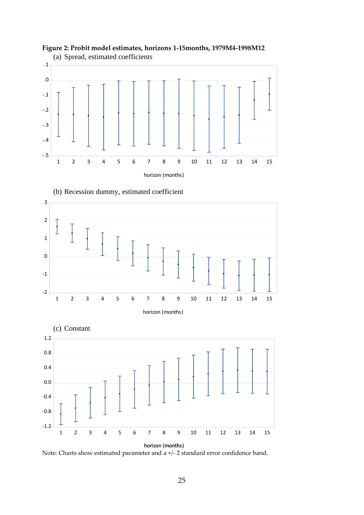









Note: Charts show estimated parameter and a +/- 2 standard error confidence band.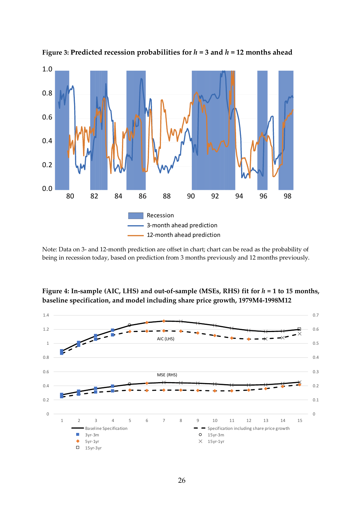

**Figure 3: Predicted recession probabilities for**  $h = 3$  **and**  $h = 12$  **months ahead** 

Note: Data on 3- and 12-month prediction are offset in chart; chart can be read as the probability of being in recession today, based on prediction from 3 months previously and 12 months previously.



**Figure 4: In-sample (AIC, LHS) and out-of-sample (MSEs, RHS) fit for** *h* **= 1 to 15 months, baseline specification, and model including share price growth, 1979M4-1998M12**